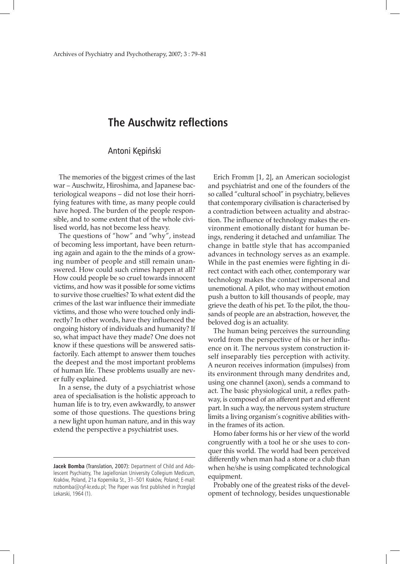## **The Auschwitz reflections**

## Antoni Kępiński

The memories of the biggest crimes of the last war – Auschwitz, Hiroshima, and Japanese bacteriological weapons – did not lose their horrifying features with time, as many people could have hoped. The burden of the people responsible, and to some extent that of the whole civilised world, has not become less heavy.

The questions of "how" and "why", instead of becoming less important, have been returning again and again to the the minds of a growing number of people and still remain unanswered. How could such crimes happen at all? How could people be so cruel towards innocent victims, and how was it possible for some victims to survive those cruelties? To what extent did the crimes of the last war influence their immediate victims, and those who were touched only indirectly? In other words, have they influenced the ongoing history of individuals and humanity? If so, what impact have they made? One does not know if these questions will be answered satisfactorily. Each attempt to answer them touches the deepest and the most important problems of human life. These problems usually are never fully explained.

In a sense, the duty of a psychiatrist whose area of specialisation is the holistic approach to human life is to try, even awkwardly, to answer some of those questions. The questions bring a new light upon human nature, and in this way extend the perspective a psychiatrist uses.

Erich Fromm [1, 2], an American sociologist and psychiatrist and one of the founders of the so called "cultural school" in psychiatry, believes that contemporary civilisation is characterised by a contradiction between actuality and abstraction. The influence of technology makes the environment emotionally distant for human beings, rendering it detached and unfamiliar. The change in battle style that has accompanied advances in technology serves as an example. While in the past enemies were fighting in direct contact with each other, contemporary war technology makes the contact impersonal and unemotional. A pilot, who may without emotion push a button to kill thousands of people, may grieve the death of his pet. To the pilot, the thousands of people are an abstraction, however, the beloved dog is an actuality.

The human being perceives the surrounding world from the perspective of his or her influence on it. The nervous system construction itself inseparably ties perception with activity. A neuron receives information (impulses) from its environment through many dendrites and, using one channel (axon), sends a command to act. The basic physiological unit, a reflex pathway, is composed of an afferent part and efferent part. In such a way, the nervous system structure limits a living organism's cognitive abilities within the frames of its action.

Homo faber forms his or her view of the world congruently with a tool he or she uses to conquer this world. The world had been perceived differently when man had a stone or a club than when he/she is using complicated technological equipment.

Probably one of the greatest risks of the development of technology, besides unquestionable

**Jacek Bomba** (Translation, 2007): Department of Child and Adolescent Psychiatry, The Jagiellonian University Collegium Medicum, Kraków, Poland, 21a Kopernika St., 31–501 Kraków, Poland; E-mail: mzbomba@cyf-kr.edu.pl; The Paper was first published in Przegląd Lekarski, 1964 (1).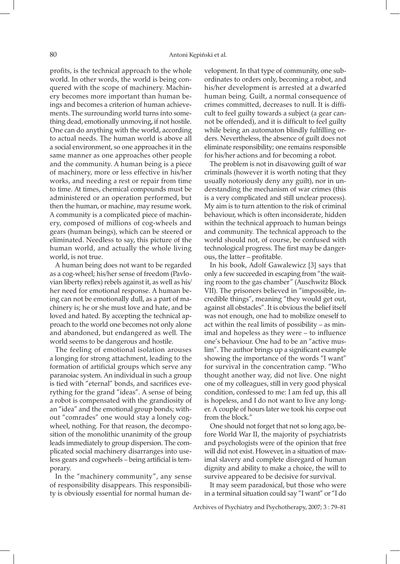profits, is the technical approach to the whole world. In other words, the world is being conquered with the scope of machinery. Machinery becomes more important than human beings and becomes a criterion of human achievements. The surrounding world turns into something dead, emotionally unmoving, if not hostile. One can do anything with the world, according to actual needs. The human world is above all a social environment, so one approaches it in the same manner as one approaches other people and the community. A human being is a piece of machinery, more or less effective in his/her works, and needing a rest or repair from time to time. At times, chemical compounds must be administered or an operation performed, but then the human, or machine, may resume work. A community is a complicated piece of machinery, composed of millions of cog-wheels and gears (human beings), which can be steered or eliminated. Needless to say, this picture of the human world, and actually the whole living world, is not true.

A human being does not want to be regarded as a cog-wheel; his/her sense of freedom (Pavlovian liberty reflex) rebels against it, as well as his/ her need for emotional response. A human being can not be emotionally dull, as a part of machinery is; he or she must love and hate, and be loved and hated. By accepting the technical approach to the world one becomes not only alone and abandoned, but endangered as well. The world seems to be dangerous and hostile.

The feeling of emotional isolation arouses a longing for strong attachment, leading to the formation of artificial groups which serve any paranoiac system. An individual in such a group is tied with "eternal" bonds, and sacrifices everything for the grand "ideas". A sense of being a robot is compensated with the grandiosity of an "idea" and the emotional group bonds; without "comrades" one would stay a lonely cogwheel, nothing. For that reason, the decomposition of the monolithic unanimity of the group leads immediately to group dispersion. The complicated social machinery disarranges into useless gears and cogwheels – being artificial is temporary.

In the "machinery community", any sense of responsibility disappears. This responsibility is obviously essential for normal human development. In that type of community, one subordinates to orders only, becoming a robot, and his/her development is arrested at a dwarfed human being. Guilt, a normal consequence of crimes committed, decreases to null. It is difficult to feel guilty towards a subject (a gear cannot be offended), and it is difficult to feel guilty while being an automaton blindly fulfilling orders. Nevertheless, the absence of guilt does not eliminate responsibility; one remains responsible for his/her actions and for becoming a robot.

The problem is not in disavowing guilt of war criminals (however it is worth noting that they usually notoriously deny any guilt), nor in understanding the mechanism of war crimes (this is a very complicated and still unclear process). My aim is to turn attention to the risk of criminal behaviour, which is often inconsiderate, hidden within the technical approach to human beings and community. The technical approach to the world should not, of course, be confused with technological progress. The first may be dangerous, the latter – profitable.

In his book, Adolf Gawalewicz [3] says that only a few succeeded in escaping from "the waiting room to the gas chamber" (Auschwitz Block VII). The prisoners believed in "impossible, incredible things", meaning "they would get out, against all obstacles". It is obvious the belief itself was not enough, one had to mobilize oneself to act within the real limits of possibility – as minimal and hopeless as they were – to influence one's behaviour. One had to be an "active muslim". The author brings up a significant example showing the importance of the words "I want" for survival in the concentration camp. "Who thought another way, did not live. One night one of my colleagues, still in very good physical condition, confessed to me: I am fed up, this all is hopeless, and I do not want to live any longer. A couple of hours later we took his corpse out from the block."

One should not forget that not so long ago, before World War II, the majority of psychiatrists and psychologists were of the opinion that free will did not exist. However, in a situation of maximal slavery and complete disregard of human dignity and ability to make a choice, the will to survive appeared to be decisive for survival.

It may seem paradoxical, but those who were in a terminal situation could say "I want" or "I do

Archives of Psychiatry and Psychotherapy, 2007; 3 : 79–81